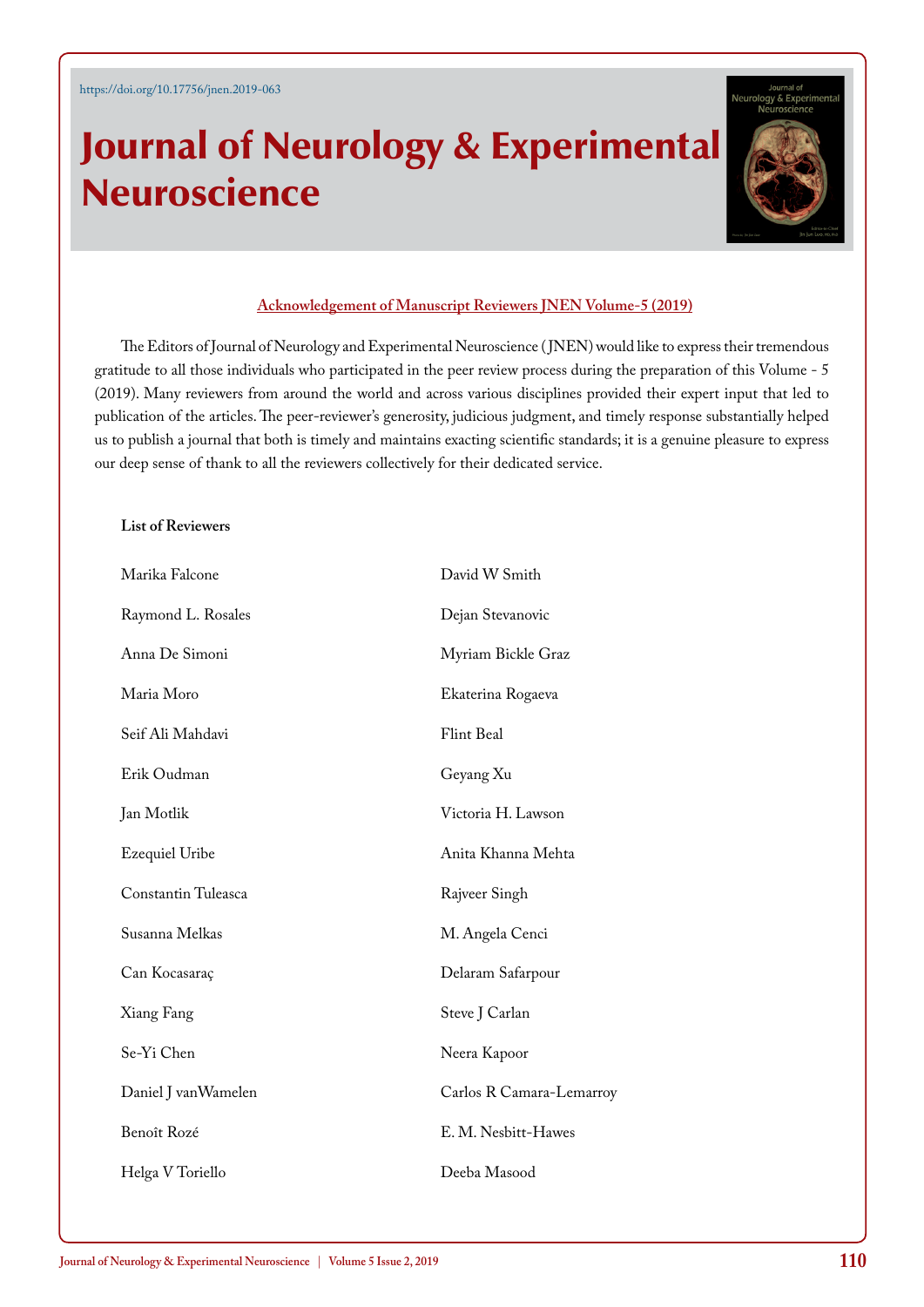## Journal of Neurology & Experimental Neuroscience



## **Acknowledgement of Manuscript Reviewers JNEN Volume-5 (2019)**

The Editors of Journal of Neurology and Experimental Neuroscience ( JNEN) would like to express their tremendous gratitude to all those individuals who participated in the peer review process during the preparation of this Volume - 5 (2019). Many reviewers from around the world and across various disciplines provided their expert input that led to publication of the articles. The peer-reviewer's generosity, judicious judgment, and timely response substantially helped us to publish a journal that both is timely and maintains exacting scientific standards; it is a genuine pleasure to express our deep sense of thank to all the reviewers collectively for their dedicated service.

## **List of Reviewers**

| Marika Falcone        | David W Smith            |
|-----------------------|--------------------------|
| Raymond L. Rosales    | Dejan Stevanovic         |
| Anna De Simoni        | Myriam Bickle Graz       |
| Maria Moro            | Ekaterina Rogaeva        |
| Seif Ali Mahdavi      | Flint Beal               |
| Erik Oudman           | Geyang Xu                |
| Jan Motlik            | Victoria H. Lawson       |
| <b>Ezequiel Uribe</b> | Anita Khanna Mehta       |
| Constantin Tuleasca   | Rajveer Singh            |
| Susanna Melkas        | M. Angela Cenci          |
| Can Kocasaraç         | Delaram Safarpour        |
| Xiang Fang            | Steve J Carlan           |
| Se-Yi Chen            | Neera Kapoor             |
| Daniel J vanWamelen   | Carlos R Camara-Lemarroy |
| Benoît Rozé           | E. M. Nesbitt-Hawes      |
| Helga V Toriello      | Deeba Masood             |